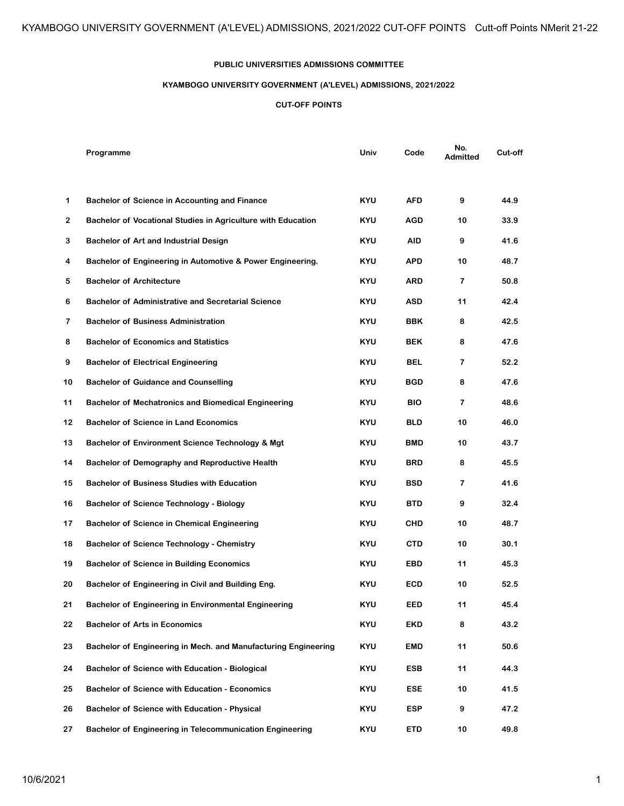## **PUBLIC UNIVERSITIES ADMISSIONS COMMITTEE**

## **KYAMBOGO UNIVERSITY GOVERNMENT (A'LEVEL) ADMISSIONS, 2021/2022**

## **CUT-OFF POINTS**

|    | Programme                                                       | Univ       | Code       | No.<br><b>Admitted</b> | Cut-off |
|----|-----------------------------------------------------------------|------------|------------|------------------------|---------|
| 1  | <b>Bachelor of Science in Accounting and Finance</b>            | KYU        | AFD        | 9                      | 44.9    |
| 2  | Bachelor of Vocational Studies in Agriculture with Education    | KYU        | <b>AGD</b> | 10                     | 33.9    |
| 3  | <b>Bachelor of Art and Industrial Design</b>                    | <b>KYU</b> | AID        | 9                      | 41.6    |
| 4  | Bachelor of Engineering in Automotive & Power Engineering.      | KYU        | APD        | 10                     | 48.7    |
| 5  | <b>Bachelor of Architecture</b>                                 | <b>KYU</b> | ARD        | 7                      | 50.8    |
| 6  | <b>Bachelor of Administrative and Secretarial Science</b>       | KYU        | ASD        | 11                     | 42.4    |
| 7  | <b>Bachelor of Business Administration</b>                      | <b>KYU</b> | <b>BBK</b> | 8                      | 42.5    |
| 8  | <b>Bachelor of Economics and Statistics</b>                     | <b>KYU</b> | BEK        | 8                      | 47.6    |
| 9  | <b>Bachelor of Electrical Engineering</b>                       | KYU        | <b>BEL</b> | 7                      | 52.2    |
| 10 | <b>Bachelor of Guidance and Counselling</b>                     | KYU        | <b>BGD</b> | 8                      | 47.6    |
| 11 | <b>Bachelor of Mechatronics and Biomedical Engineering</b>      | <b>KYU</b> | <b>BIO</b> | $\overline{7}$         | 48.6    |
| 12 | <b>Bachelor of Science in Land Economics</b>                    | KYU        | BLD        | 10                     | 46.0    |
| 13 | Bachelor of Environment Science Technology & Mgt                | <b>KYU</b> | <b>BMD</b> | 10                     | 43.7    |
| 14 | Bachelor of Demography and Reproductive Health                  | KYU        | BRD        | 8                      | 45.5    |
| 15 | <b>Bachelor of Business Studies with Education</b>              | KYU        | <b>BSD</b> | 7                      | 41.6    |
| 16 | <b>Bachelor of Science Technology - Biology</b>                 | <b>KYU</b> | <b>BTD</b> | 9                      | 32.4    |
| 17 | <b>Bachelor of Science in Chemical Engineering</b>              | <b>KYU</b> | CHD        | 10                     | 48.7    |
| 18 | <b>Bachelor of Science Technology - Chemistry</b>               | KYU        | CTD        | 10                     | 30.1    |
| 19 | <b>Bachelor of Science in Building Economics</b>                | <b>KYU</b> | EBD        | 11                     | 45.3    |
| 20 | Bachelor of Engineering in Civil and Building Eng.              | <b>KYU</b> | ECD        | 10                     | 52.5    |
| 21 | <b>Bachelor of Engineering in Environmental Engineering</b>     | KYU        | EED        | 11                     | 45.4    |
| 22 | <b>Bachelor of Arts in Economics</b>                            | <b>KYU</b> | <b>EKD</b> | 8                      | 43.2    |
| 23 | Bachelor of Engineering in Mech. and Manufacturing Engineering  | <b>KYU</b> | EMD        | 11                     | 50.6    |
| 24 | <b>Bachelor of Science with Education - Biological</b>          | KYU        | <b>ESB</b> | 11                     | 44.3    |
| 25 | <b>Bachelor of Science with Education - Economics</b>           | <b>KYU</b> | ESE        | 10                     | 41.5    |
| 26 | <b>Bachelor of Science with Education - Physical</b>            | <b>KYU</b> | <b>ESP</b> | 9                      | 47.2    |
| 27 | <b>Bachelor of Engineering in Telecommunication Engineering</b> | <b>KYU</b> | <b>ETD</b> | 10                     | 49.8    |